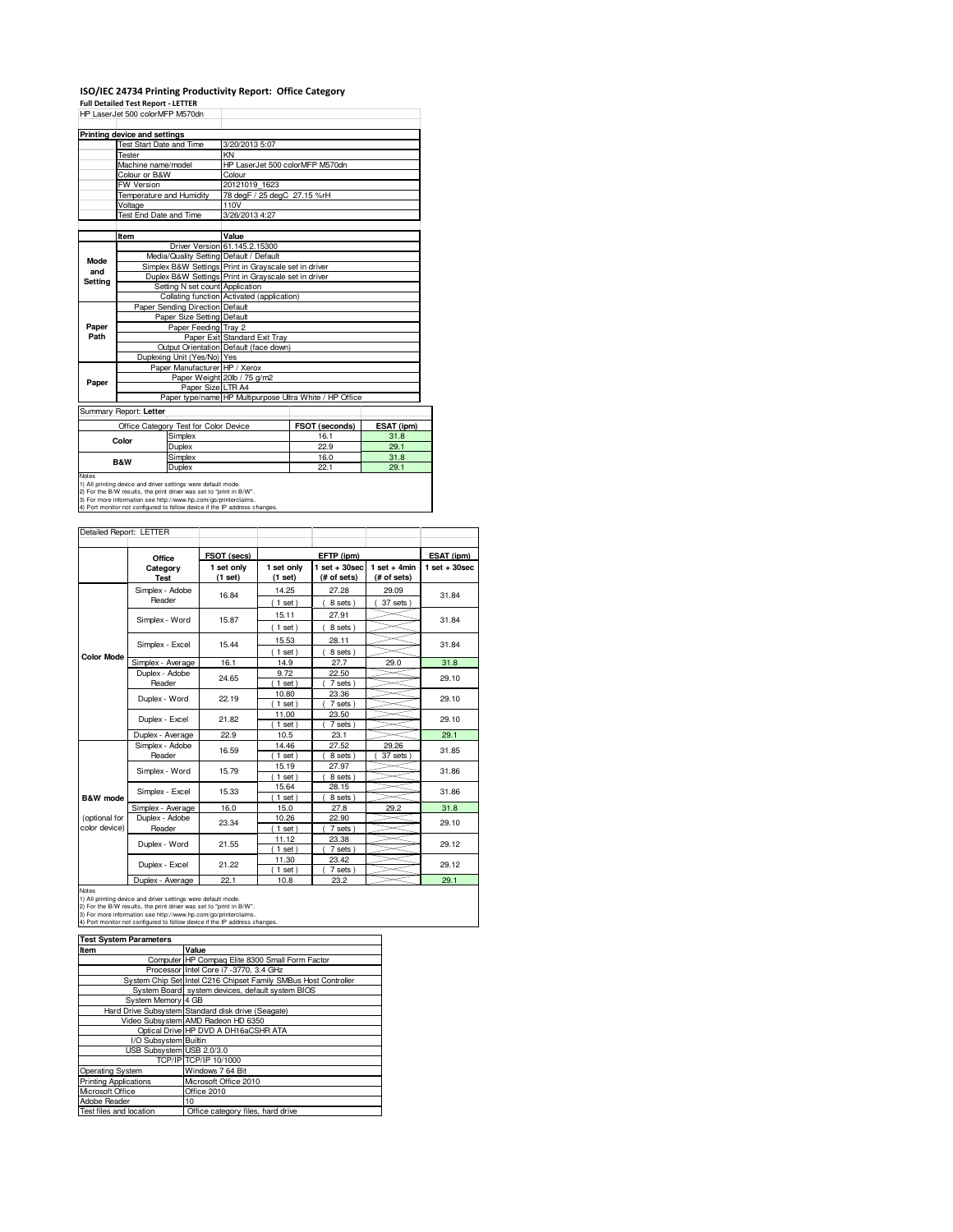## **ISO/IEC 24734 Printing Productivity Report: Office Category**

**Full Detailed Test Report - LETTER** HP LaserJet 500 colorMFP M570dn

|         |                        | Test Start Date and Time                | 3/20/2013 5:07                                          |                             |            |  |  |
|---------|------------------------|-----------------------------------------|---------------------------------------------------------|-----------------------------|------------|--|--|
|         | Tester                 |                                         | KN                                                      |                             |            |  |  |
|         |                        | Machine name/model                      | HP LaserJet 500 colorMFP M570dn                         |                             |            |  |  |
|         | Colour or B&W          |                                         | Colour                                                  |                             |            |  |  |
|         | FW Version             |                                         | 20121019 1623                                           |                             |            |  |  |
|         |                        | Temperature and Humidity                |                                                         | 78 degF / 25 degC 27.15 %rH |            |  |  |
|         | Voltage                |                                         | 110V                                                    |                             |            |  |  |
|         |                        | Test End Date and Time                  | 3/26/2013 4:27                                          |                             |            |  |  |
|         |                        |                                         |                                                         |                             |            |  |  |
|         | Item                   |                                         | Value                                                   |                             |            |  |  |
|         |                        | Driver Version 61.145.2.15300           |                                                         |                             |            |  |  |
| Mode    |                        | Media/Quality Setting Default / Default | Simplex B&W Settings Print in Grayscale set in driver   |                             |            |  |  |
| and     |                        |                                         | Duplex B&W Settings Print in Grayscale set in driver    |                             |            |  |  |
| Settina |                        | Setting N set count Application         |                                                         |                             |            |  |  |
|         |                        |                                         | Collating function Activated (application)              |                             |            |  |  |
|         |                        | Paper Sending Direction Default         |                                                         |                             |            |  |  |
|         |                        | Paper Size Setting Default              |                                                         |                             |            |  |  |
| Paper   |                        | Paper Feeding Tray 2                    |                                                         |                             |            |  |  |
| Path    |                        |                                         | Paper Exit Standard Exit Tray                           |                             |            |  |  |
|         |                        | Output Orientation Default (face down)  |                                                         |                             |            |  |  |
|         |                        | Duplexing Unit (Yes/No) Yes             |                                                         |                             |            |  |  |
|         |                        | Paper Manufacturer HP / Xerox           |                                                         |                             |            |  |  |
| Paper   |                        |                                         | Paper Weight 20lb / 75 g/m2                             |                             |            |  |  |
|         |                        | Paper Size LTR A4                       |                                                         |                             |            |  |  |
|         |                        |                                         | Paper type/name HP Multipurpose Ultra White / HP Office |                             |            |  |  |
|         | Summary Report: Letter |                                         |                                                         |                             |            |  |  |
|         |                        | Office Category Test for Color Device   |                                                         | FSOT (seconds)              | ESAT (ipm) |  |  |
|         | Color                  | Simplex                                 |                                                         | 16.1                        | 31.8       |  |  |
|         |                        | Duplex                                  |                                                         | 22.9                        | 29.1       |  |  |
|         |                        | Simplex                                 |                                                         | 16.0                        | 31.8       |  |  |
|         | B&W                    | Duplex                                  |                                                         | 22.1                        | 29.1       |  |  |

1) All printing device and driver settings were default mode.<br>2) For the B/W results, the print driver was set to "print in B/W".<br>3) For more information see http://www.hp.com/go/printerclaims.<br>4) Port monitor not configur

Detailed Report: LETTER

| Delalleu neport. LETTEN        |                           |                       |                       |                                |                               |                 |
|--------------------------------|---------------------------|-----------------------|-----------------------|--------------------------------|-------------------------------|-----------------|
|                                | Office                    | FSOT (secs)           | EFTP (ipm)            |                                |                               | ESAT (ipm)      |
|                                | Category<br><b>Test</b>   | 1 set only<br>(1 set) | 1 set only<br>(1 set) | $1$ set + 30sec<br>(# of sets) | $1$ set + 4min<br>(# of sets) | $1$ set + 30sec |
|                                | Simplex - Adobe<br>Reader | 16.84                 | 14.25<br>(1 set)      | 27.28<br>8 sets                | 29.09<br>37 sets              | 31.84           |
|                                | Simplex - Word            | 15.87                 | 15.11<br>$1$ set)     | 27.91<br>8 sets)               |                               | 31.84           |
|                                | Simplex - Excel           | 15.44                 | 15.53<br>(1 set)      | 28.11<br>8 sets)               |                               | 31.84           |
| <b>Color Mode</b>              | Simplex - Average         | 16.1                  | 14.9                  | 27.7                           | 29.0                          | 31.8            |
|                                | Duplex - Adobe<br>Reader  | 24.65                 | 9.72<br>$1$ set)      | 22.50<br>7 sets)               |                               | 29.10           |
|                                | Duplex - Word             | 22.19                 | 10.80<br>$1$ set)     | 23.36<br>7 sets                |                               | 29.10           |
|                                | Duplex - Excel            | 21.82                 | 11.00<br>$1$ set)     | 23.50<br>7 sets)               |                               | 29.10           |
|                                | Duplex - Average          | 22.9                  | 10.5                  | 23.1                           |                               | 29.1            |
|                                | Simplex - Adobe<br>Reader | 16.59                 | 14.46<br>$1$ set)     | 27.52<br>8 sets                | 29.26<br>37 sets 1            | 31.85           |
|                                | Simplex - Word            | 15.79                 | 15.19<br>$1$ set)     | 27.97<br>8 sets                |                               | 31.86           |
| B&W mode                       | Simplex - Excel           | 15.33                 | 15.64<br>$1$ set)     | 28.15<br>8 sets                |                               | 31.86           |
|                                | Simplex - Average         | 16.0                  | 15.0                  | 27.8                           | 29.2                          | 31.8            |
| (optional for<br>color device) | Duplex - Adobe<br>Reader  | 23.34                 | 10.26<br>$1$ set)     | 22.90<br>7 sets)               |                               | 29.10           |
|                                | Duplex - Word             | 21.55                 | 11.12<br>$1$ set)     | 23.38<br>7 sets                |                               | 29.12           |
|                                | Duplex - Excel            | 21.22                 | 11.30<br>$1$ set)     | 23.42<br>7 sets                |                               | 29.12           |
|                                | Donated Accessive         | 00 <sup>4</sup>       | $\overline{a}$        | 000                            |                               | 0 <sup>1</sup>  |

Notes<br>
Notes<br>
1) All princing device and driver settings were defeating mode.<br>
2) For the B/W results, the print driver was set to "print in B/W".<br>
3) For the B/W results, the print driver was set to "print in B/W".<br>
4) Po

| <b>Test System Parameters</b> |                                                                 |  |  |
|-------------------------------|-----------------------------------------------------------------|--|--|
| Item                          | Value                                                           |  |  |
|                               | Computer HP Compag Elite 8300 Small Form Factor                 |  |  |
|                               | Processor Intel Core i7 -3770, 3.4 GHz                          |  |  |
|                               | System Chip Set Intel C216 Chipset Family SMBus Host Controller |  |  |
|                               | System Board system devices, default system BIOS                |  |  |
| System Memory 4 GB            |                                                                 |  |  |
|                               | Hard Drive Subsystem Standard disk drive (Seagate)              |  |  |
|                               | Video Subsystem AMD Radeon HD 6350                              |  |  |
|                               | Optical Drive HP DVD A DH16aCSHR ATA                            |  |  |
| I/O Subsystem Builtin         |                                                                 |  |  |
| USB Subsystem USB 2.0/3.0     |                                                                 |  |  |
|                               | TCP/IP TCP/IP 10/1000                                           |  |  |
| <b>Operating System</b>       | Windows 7 64 Bit                                                |  |  |
| <b>Printing Applications</b>  | Microsoft Office 2010                                           |  |  |
| Microsoft Office              | Office 2010                                                     |  |  |
| Adobe Reader                  | 10                                                              |  |  |
| Test files and location       | Office category files, hard drive                               |  |  |